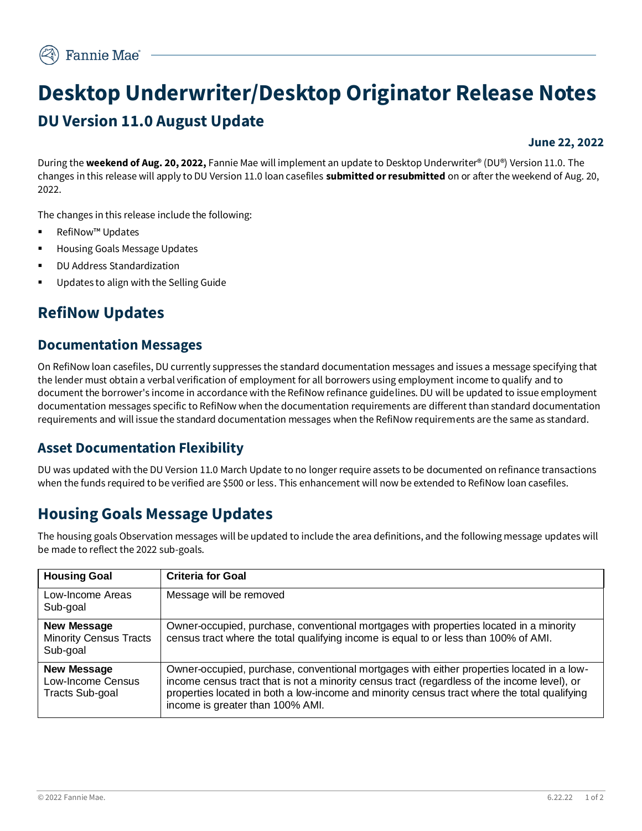# **Desktop Underwriter/Desktop Originator Release Notes DU Version 11.0 August Update**

#### **June 22, 2022**

During the **weekend of Aug. 20, 2022,** Fannie Mae will implement an update to Desktop Underwriter® (DU®) Version 11.0. The changes in this release will apply to DU Version 11.0 loan casefiles **submitted or resubmitted** on or after the weekend of Aug. 20, 2022.

The changes in this release include the following:

- **RefiNow™ Updates**
- Housing Goals Message Updates
- **DU Address Standardization**
- Updates to align with the Selling Guide

#### **RefiNow Updates**

#### **Documentation Messages**

On RefiNow loan casefiles, DU currently suppresses the standard documentation messages and issues a message specifying that the lender must obtain a verbal verification of employment for all borrowers using employment income to qualify and to document the borrower's income in accordance with the RefiNow refinance guidelines. DU will be updated to issue employment documentation messages specific to RefiNow when the documentation requirements are different than standard documentation requirements and will issue the standard documentation messages when the RefiNow requirements are the same as standard.

#### **Asset Documentation Flexibility**

DU was updated with the DU Version 11.0 March Update to no longer require assets to be documented on refinance transactions when the funds required to be verified are \$500 or less. This enhancement will now be extended to RefiNow loan casefiles.

# **Housing Goals Message Updates**

The housing goals Observation messages will be updated to include the area definitions, and the following message updates will be made to reflect the 2022 sub-goals.

| <b>Housing Goal</b>                                             | <b>Criteria for Goal</b>                                                                                                                                                                                                                                                                                                      |
|-----------------------------------------------------------------|-------------------------------------------------------------------------------------------------------------------------------------------------------------------------------------------------------------------------------------------------------------------------------------------------------------------------------|
| Low-Income Areas<br>Sub-goal                                    | Message will be removed                                                                                                                                                                                                                                                                                                       |
| <b>New Message</b><br><b>Minority Census Tracts</b><br>Sub-goal | Owner-occupied, purchase, conventional mortgages with properties located in a minority<br>census tract where the total qualifying income is equal to or less than 100% of AMI.                                                                                                                                                |
| <b>New Message</b><br>Low-Income Census<br>Tracts Sub-goal      | Owner-occupied, purchase, conventional mortgages with either properties located in a low-<br>income census tract that is not a minority census tract (regardless of the income level), or<br>properties located in both a low-income and minority census tract where the total qualifying<br>income is greater than 100% AMI. |